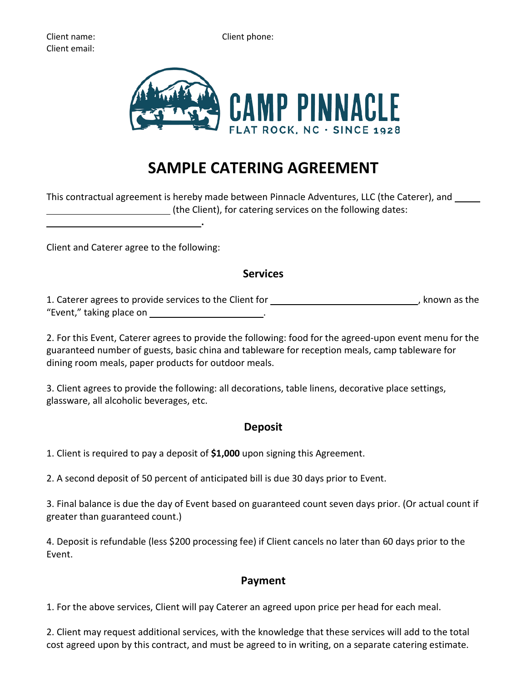Client name: Client phone:

Client email:



# **SAMPLE CATERING AGREEMENT**

This contractual agreement is hereby made between Pinnacle Adventures, LLC (the Caterer), and (the Client), for catering services on the following dates:

Client and Caterer agree to the following:

## **Services**

1. Caterer agrees to provide services to the Client for \_\_\_\_\_\_\_\_\_\_\_\_\_\_\_\_\_\_\_\_\_\_\_\_\_\_\_\_\_\_\_\_, known as the "Event," taking place on .

2. For this Event, Caterer agrees to provide the following: food for the agreed-upon event menu for the guaranteed number of guests, basic china and tableware for reception meals, camp tableware for dining room meals, paper products for outdoor meals.

3. Client agrees to provide the following: all decorations, table linens, decorative place settings, glassware, all alcoholic beverages, etc.

### **Deposit**

1. Client is required to pay a deposit of **\$1,000** upon signing this Agreement.

**.**

2. A second deposit of 50 percent of anticipated bill is due 30 days prior to Event.

3. Final balance is due the day of Event based on guaranteed count seven days prior. (Or actual count if greater than guaranteed count.)

4. Deposit is refundable (less \$200 processing fee) if Client cancels no later than 60 days prior to the Event.

### **Payment**

1. For the above services, Client will pay Caterer an agreed upon price per head for each meal.

2. Client may request additional services, with the knowledge that these services will add to the total cost agreed upon by this contract, and must be agreed to in writing, on a separate catering estimate.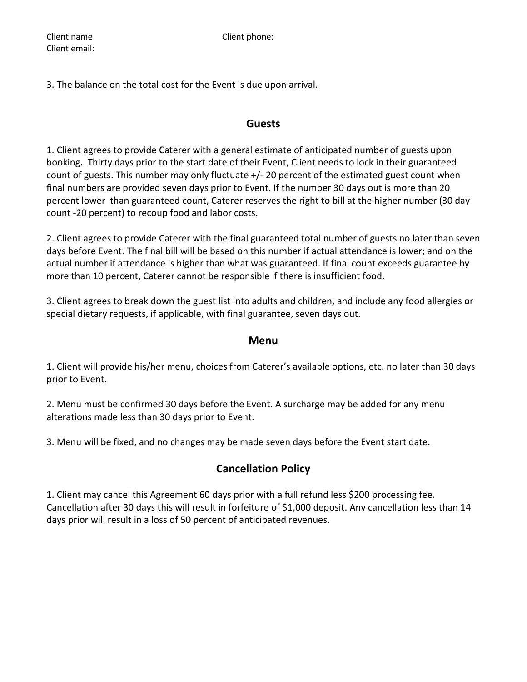Client email:

3. The balance on the total cost for the Event is due upon arrival.

#### **Guests**

1. Client agrees to provide Caterer with a general estimate of anticipated number of guests upon booking**.** Thirty days prior to the start date of their Event, Client needs to lock in their guaranteed count of guests. This number may only fluctuate +/- 20 percent of the estimated guest count when final numbers are provided seven days prior to Event. If the number 30 days out is more than 20 percent lower than guaranteed count, Caterer reserves the right to bill at the higher number (30 day count -20 percent) to recoup food and labor costs.

2. Client agrees to provide Caterer with the final guaranteed total number of guests no later than seven days before Event. The final bill will be based on this number if actual attendance is lower; and on the actual number if attendance is higher than what was guaranteed. If final count exceeds guarantee by more than 10 percent, Caterer cannot be responsible if there is insufficient food.

3. Client agrees to break down the guest list into adults and children, and include any food allergies or special dietary requests, if applicable, with final guarantee, seven days out.

#### **Menu**

1. Client will provide his/her menu, choices from Caterer's available options, etc. no later than 30 days prior to Event.

2. Menu must be confirmed 30 days before the Event. A surcharge may be added for any menu alterations made less than 30 days prior to Event.

3. Menu will be fixed, and no changes may be made seven days before the Event start date.

# **Cancellation Policy**

1. Client may cancel this Agreement 60 days prior with a full refund less \$200 processing fee. Cancellation after 30 days this will result in forfeiture of \$1,000 deposit. Any cancellation less than 14 days prior will result in a loss of 50 percent of anticipated revenues.